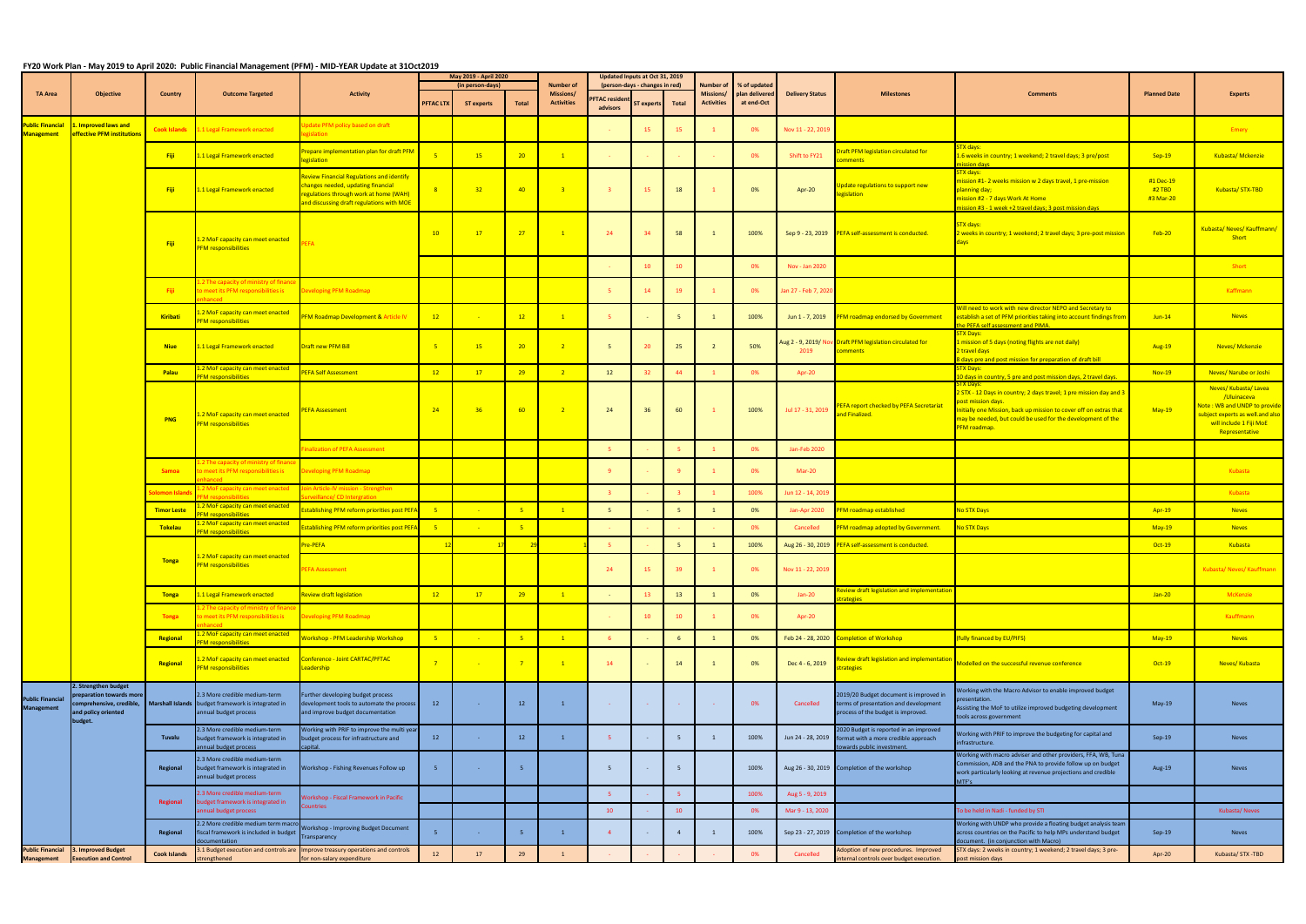## **FY20 Work Plan - May 2019 to April 2020: Public Financial Management (PFM) - MID-YEAR Update at 31Oct2019**

|                                              | <b>Objective</b>                                                                                           | <b>Country</b>      | <b>Outcome Targeted</b>                                                                                      | <b>Activity</b>                                                                                                                                                               | May 2019 - April 2020<br>(in person-days) |                   |                 | <b>Number of</b>               | Updated Inputs at Oct 31, 2019<br>(person-days - changes in red) |                 |                | <b>Number of</b>                      | % of updated                 |                                        |                                                                                                                       |                                                                                                                                                                                                                                                    |                                  |                                                                                                                                                    |
|----------------------------------------------|------------------------------------------------------------------------------------------------------------|---------------------|--------------------------------------------------------------------------------------------------------------|-------------------------------------------------------------------------------------------------------------------------------------------------------------------------------|-------------------------------------------|-------------------|-----------------|--------------------------------|------------------------------------------------------------------|-----------------|----------------|---------------------------------------|------------------------------|----------------------------------------|-----------------------------------------------------------------------------------------------------------------------|----------------------------------------------------------------------------------------------------------------------------------------------------------------------------------------------------------------------------------------------------|----------------------------------|----------------------------------------------------------------------------------------------------------------------------------------------------|
| <b>TA Area</b>                               |                                                                                                            |                     |                                                                                                              |                                                                                                                                                                               | PFTAC LTX                                 | <b>ST experts</b> | Total           | Missions/<br><b>Activities</b> | <b>PFTAC resident</b><br>advisors                                | ST experts      | Total          | <b>Missions/</b><br><b>Activities</b> | plan delivered<br>at end-Oct | <b>Delivery Status</b>                 | <b>Milestones</b>                                                                                                     | <b>Comments</b>                                                                                                                                                                                                                                    | <b>Planned Date</b>              | <b>Experts</b>                                                                                                                                     |
| ublic Financial<br>Management <b>M</b>       | . Improved laws and<br>effective PFM institutions                                                          | <b>Cook Islands</b> | 1.1 Legal Framework enacted                                                                                  | pdate PFM policy based on draft<br>gislation                                                                                                                                  |                                           |                   |                 |                                |                                                                  | 15              | 15             |                                       | 0%                           | Nov 11 - 22, 2019                      |                                                                                                                       |                                                                                                                                                                                                                                                    |                                  | Emery                                                                                                                                              |
|                                              |                                                                                                            | -Fiji               | .1 Legal Framework enacted                                                                                   | Prepare implementation plan for draft PFM<br>egislation                                                                                                                       |                                           | 15                | 20 <sub>2</sub> | $\mathbf{1}$                   |                                                                  |                 |                |                                       | 0%                           | Shift to FY21                          | raft PFM legislation circulated for<br>mments                                                                         | <b>TX days:</b><br>1.6 weeks in country; 1 weekend; 2 travel days; 3 pre/post<br>ission days                                                                                                                                                       | $Sep-19$                         | Kubasta/Mckenzie                                                                                                                                   |
|                                              |                                                                                                            | -Fiji               | 1.1 Legal Framework enacted                                                                                  | <b>Review Financial Regulations and identify</b><br>changes needed, updating financial<br>regulations through work at home (WAH)<br>and discussing draft regulations with MOE |                                           | 32                | 40              | $\overline{\mathbf{3}}$        |                                                                  | 15              | 18             |                                       | 0%                           | Apr-20                                 | pdate regulations to support new<br>egislation                                                                        | TX days:<br>ission #1- 2 weeks mission w 2 days travel, 1 pre-mission<br>lanning day;<br>nission #2 - 7 days Work At Home<br>ission #3 - 1 week +2 travel days; 3 post mission days                                                                | #1 Dec-19<br>#2 TBD<br>#3 Mar-20 | Kubasta/STX-TBD                                                                                                                                    |
|                                              |                                                                                                            | <b>Fiji</b>         | .2 MoF capacity can meet enacted<br><b>FM responsibilities</b>                                               | <b>FFA</b>                                                                                                                                                                    | 10                                        | 17                | 27              | $\overline{1}$                 | 24                                                               | 34              | 58             |                                       | 100%                         |                                        | Sep 9 - 23, 2019 PEFA self-assessment is conducted.                                                                   | <b>STX days:</b><br>weeks in country; 1 weekend; 2 travel days; 3 pre-post mission?<br>days                                                                                                                                                        | Feb-20                           | Kubasta/ Neves/ Kauffmann/<br>Short                                                                                                                |
|                                              |                                                                                                            |                     |                                                                                                              |                                                                                                                                                                               |                                           |                   |                 |                                |                                                                  | 10 <sup>°</sup> | 10             |                                       | 0%                           | Nov - Jan 2020                         |                                                                                                                       |                                                                                                                                                                                                                                                    |                                  | <b>Short</b>                                                                                                                                       |
|                                              |                                                                                                            | - Fiji              | .2 The capacity of ministry of finand<br>o meet its PFM responsibilities is<br>hanced <b>and</b>             | Developing PFM Roadmap                                                                                                                                                        |                                           |                   |                 |                                |                                                                  | 14              | 19             |                                       | 0%                           | an 27 - Feb 7, 202                     |                                                                                                                       |                                                                                                                                                                                                                                                    |                                  | Kaffmann                                                                                                                                           |
|                                              |                                                                                                            | Kiribati            | 2 MoF capacity can meet enacted<br><b>FM</b> responsibilities                                                | <b>PFM Roadmap Development &amp; Article IV</b>                                                                                                                               | 12                                        |                   | 12              | $\mathbf{1}$                   |                                                                  |                 |                |                                       | 100%                         | Jun 1 - 7, 2019                        | PFM roadmap endorsed by Government                                                                                    | Will need to work with new director NEPO and Secretary to<br>establish a set of PFM priorities taking into account findings from<br>he PEFA self assessment and PIMA.                                                                              | $Jun-14$                         | <b>Neves</b>                                                                                                                                       |
|                                              |                                                                                                            | <b>Niue</b>         | 1.1 Legal Framework enacted                                                                                  | Draft new PFM Bill                                                                                                                                                            | $-5$                                      | 15                | 20              | $\overline{2}$                 | - 5                                                              | 20 <sub>2</sub> | 25             |                                       | 50%                          | Aug 2 - 9, 2019/ No<br>2019            | Draft PFM legislation circulated for<br>omments                                                                       | TX Days:<br>mission of 5 days (noting flights are not daily)<br>travel days<br>days pre and post mission for preparation of draft bill                                                                                                             | Aug-19                           | <b>Neves/Mckenzie</b>                                                                                                                              |
|                                              |                                                                                                            | Palau               | .2 MoF capacity can meet enacted<br><b>FM responsibilities</b>                                               | <b>EFA Self Assessment</b>                                                                                                                                                    | 12                                        | 17                | 29              | $\sqrt{2}$                     | 12                                                               | 32 <sub>2</sub> | 44             |                                       | 0%                           | Apr-20                                 |                                                                                                                       | <b>STX Days:</b><br>10 days in country, 5 pre and post mission days, 2 travel days.                                                                                                                                                                | Nov-19                           | Neves/ Narube or Joshi                                                                                                                             |
|                                              |                                                                                                            | <b>PNG</b>          | .2 MoF capacity can meet enacted<br><b>FM responsibilities</b>                                               | <b>PEFA Assessment</b>                                                                                                                                                        | 24                                        | 36                | $-60$           | $\sqrt{2}$                     | 24                                                               | 36              | 60             |                                       | 100%                         | Jul 17 - 31, 2019                      | PEFA report checked by PEFA Secretariat<br>nd Finalized.                                                              | 2 STX - 12 Days in country; 2 days travel; 1 pre mission day and 3<br>ost mission days.<br>nitially one Mission, back up mission to cover off on extras that<br>may be needed, but could be used for the development of the<br><b>PFM</b> roadmap. | $May-19$                         | Neves/Kubasta/Lavea<br>/Uluinaceva<br>Note: WB and UNDP to provide<br>ubject experts as well and also<br>will include 1 Fiji MoE<br>Representative |
|                                              |                                                                                                            |                     |                                                                                                              | inalization of PEFA Assessment                                                                                                                                                |                                           |                   |                 |                                |                                                                  |                 |                |                                       | 0%                           | Jan-Feb 2020                           |                                                                                                                       |                                                                                                                                                                                                                                                    |                                  |                                                                                                                                                    |
|                                              |                                                                                                            | <b>Samoa</b>        | 2 The capacity of ministry of finane<br>o meet its PFM responsibilities is<br>anced a                        | Developing PFM Roadmap                                                                                                                                                        |                                           |                   |                 |                                |                                                                  |                 |                |                                       | 0%                           | Mar-20                                 |                                                                                                                       |                                                                                                                                                                                                                                                    |                                  | Kubasta                                                                                                                                            |
|                                              |                                                                                                            | olomon Island       | 2 MoF capacity can meet enacted<br>M rocnoncibilitios                                                        | oin Article-IV mission - Strengthen                                                                                                                                           |                                           |                   |                 |                                |                                                                  |                 |                |                                       | 100%                         | Jun 12 - 14, 2019                      |                                                                                                                       |                                                                                                                                                                                                                                                    |                                  | Kubasta                                                                                                                                            |
|                                              |                                                                                                            | <b>Timor Leste</b>  | .2 MoF capacity can meet enacted                                                                             | urveillance/CD Intergration<br>stablishing PFM reform priorities post PEF                                                                                                     |                                           |                   |                 | $\sqrt{1}$                     | - 5                                                              |                 |                |                                       | 0%                           | Jan-Apr 2020                           | <b>PFM roadmap established</b>                                                                                        | lo STX Days                                                                                                                                                                                                                                        | Apr-19                           | <b>Neves</b>                                                                                                                                       |
|                                              |                                                                                                            | Tokelau             | <b>EM responsibilities</b><br>.2 MoF capacity can meet enacted                                               | stablishing PFM reform priorities post PEF                                                                                                                                    |                                           |                   |                 |                                |                                                                  |                 |                |                                       | 0%                           | Cancelled                              | PFM roadmap adopted by Government.                                                                                    | <b>No STX Days</b>                                                                                                                                                                                                                                 | $May-19$                         | <b>Neves</b>                                                                                                                                       |
|                                              |                                                                                                            |                     | <b>EM responsibilities</b>                                                                                   | Pre-PEFA                                                                                                                                                                      |                                           |                   |                 |                                |                                                                  |                 |                |                                       | 100%                         |                                        | PEFA self-assessment is conducted.                                                                                    |                                                                                                                                                                                                                                                    | Oct-19                           | Kubasta                                                                                                                                            |
|                                              |                                                                                                            | <b>Tonga</b>        | 1.2 MoF capacity can meet enacted<br><u>FM responsibilities</u>                                              | <b>EFA Assessment</b>                                                                                                                                                         |                                           |                   |                 |                                | 24                                                               | 15              | 39             |                                       | 0%                           | Aug 26 - 30, 2019<br>Nov 11 - 22, 2019 |                                                                                                                       |                                                                                                                                                                                                                                                    |                                  | Kubasta/ Neves/ Kauffmann                                                                                                                          |
|                                              |                                                                                                            | <b>Tonga</b>        | 1 Legal Framework enacted                                                                                    | <b>Review draft legislation</b>                                                                                                                                               | 12                                        | 17                | 29              | $\sqrt{1}$                     |                                                                  | 13              | 13             |                                       | 0%                           | $Jan-20$                               | eview draft legislation and implementation<br>ategies                                                                 |                                                                                                                                                                                                                                                    | $Jan-20$                         | McKenzie                                                                                                                                           |
|                                              |                                                                                                            | <b>Tonga</b>        | .2 The capacity of ministry of financ<br>o meet its PFM responsibilities is                                  | Developing PFM Roadmap                                                                                                                                                        |                                           |                   |                 |                                |                                                                  | 10              | 10             |                                       | 0%                           | Apr-20                                 |                                                                                                                       |                                                                                                                                                                                                                                                    |                                  | Kauffmann                                                                                                                                          |
|                                              |                                                                                                            | Regional            | .2 MoF capacity can meet enacted<br><b>FM responsibilities</b>                                               | Workshop - PFM Leadership Workshop                                                                                                                                            |                                           |                   | -5              | $\mathbf{1}$                   |                                                                  |                 |                |                                       | 0%                           | Feb 24 - 28, 2020                      | <b>Completion of Workshop</b>                                                                                         | fully financed by EU/PIFS)                                                                                                                                                                                                                         | $May-19$                         | <b>Neves</b>                                                                                                                                       |
|                                              |                                                                                                            | Regional            | .2 MoF capacity can meet enacted<br><b>FM</b> responsibilities                                               | Conference - Joint CARTAC/PFTAC<br>Leadership                                                                                                                                 |                                           |                   |                 | $\overline{1}$                 | 14                                                               |                 | 14             |                                       | 0%                           | Dec 4 - 6, 2019                        | eview draft legislation and implementation<br>rategies                                                                | Modelled on the successful revenue conference                                                                                                                                                                                                      | $Oct-19$                         | Neves/ Kubasta                                                                                                                                     |
| <b>Public Financial</b><br><b>Management</b> | . Strengthen budget<br>reparation towards more<br>omprehensive, credible,<br>and policy oriented<br>udget. |                     | 2.3 More credible medium-term<br>Marshall Islands budget framework is integrated in<br>annual budget process | Further developing budget process<br>development tools to automate the process<br>and improve budget documentation                                                            | 12                                        | - 1               | 12              | $\mathbf{1}$                   |                                                                  |                 |                |                                       | 0%                           | Cancelled                              | 2019/20 Budget document is improved in<br>terms of presentation and development<br>process of the budget is improved. | Vorking with the Macro Advisor to enable improved budget<br>resentation.<br>Assisting the MoF to utilize improved budgeting development<br>tools across government                                                                                 | May-19                           | <b>Neves</b>                                                                                                                                       |
|                                              |                                                                                                            | Tuvalu              | 2.3 More credible medium-term<br>budget framework is integrated in<br>nnual budget process                   | Working with PRIF to improve the multi year<br>budget process for infrastructure and<br>apital.                                                                               | 12                                        | <b>College</b>    | 12              | $\mathbf{1}$                   | -5                                                               | $\sim$          |                |                                       | 100%                         | Jun 24 - 28, 2019                      | 2020 Budget is reported in an improved<br>format with a more credible approach<br>wards public investment.            | Vorking with PRIF to improve the budgeting for capital and<br>nfrastructure.                                                                                                                                                                       | $Sep-19$                         | Neves                                                                                                                                              |
|                                              |                                                                                                            | Regional            | 2.3 More credible medium-term<br>budget framework is integrated in<br>annual budget process                  | Workshop - Fishing Revenues Follow up                                                                                                                                         |                                           | $\sim 10^{-1}$    |                 |                                | - 5                                                              |                 |                |                                       | 100%                         |                                        | Aug 26 - 30, 2019 Completion of the workshop                                                                          | Working with macro adviser and other providers, FFA, WB, Tuna<br>Commission, ADB and the PNA to provide follow up on budget<br>work particularly looking at revenue projections and credible<br>MTF's                                              | Aug-19                           | Neves                                                                                                                                              |
|                                              |                                                                                                            | <b>Regional</b>     | .3 More credible medium-term<br>budget framework is integrated in                                            | Workshop - Fiscal Framework in Pacific                                                                                                                                        |                                           |                   |                 |                                | -5                                                               |                 |                |                                       | 100%                         | Aug 5 - 9, 2019                        |                                                                                                                       |                                                                                                                                                                                                                                                    |                                  |                                                                                                                                                    |
|                                              |                                                                                                            |                     | nnual budget process                                                                                         | ountries                                                                                                                                                                      |                                           |                   |                 |                                | 10                                                               |                 | 10             |                                       | 0%                           | Mar 9 - 13, 2020                       |                                                                                                                       | To be held in Nadi - funded by STI                                                                                                                                                                                                                 |                                  | Kubasta/Neves                                                                                                                                      |
|                                              |                                                                                                            | Regional            | 2.2 More credible medium term maci<br>iscal framework is included in budget<br>ocumentation                  | Workshop - Improving Budget Document<br>Transparency                                                                                                                          |                                           |                   | -5              | $\mathbf{1}$                   |                                                                  | $\sim$          | $\overline{4}$ |                                       | 100%                         |                                        | Sep 23 - 27, 2019 Completion of the workshop                                                                          | Working with UNDP who provide a floating budget analysis team<br>across countries on the Pacific to help MPs understand budget<br>ocument. (in conjunction with Macro)                                                                             | Sep-19                           | <b>Neves</b>                                                                                                                                       |
| <b>Public Financial</b><br><b>Management</b> | 3. Improved Budget<br><b>Execution and Control</b>                                                         | <b>Cook Islands</b> | trengthened                                                                                                  | 1.1 Budget execution and controls are Improve treasury operations and controls<br>or non-salary expenditure                                                                   | 12                                        | 17                | 29              | $\mathbf{1}$                   |                                                                  |                 |                |                                       | 0%                           | Cancelled                              | Adoption of new procedures. Improved<br>ternal controls over budget execution.                                        | STX days: 2 weeks in country; 1 weekend; 2 travel days; 3 pre-<br>ost mission days                                                                                                                                                                 | Apr-20                           | Kubasta/STX-TBD                                                                                                                                    |